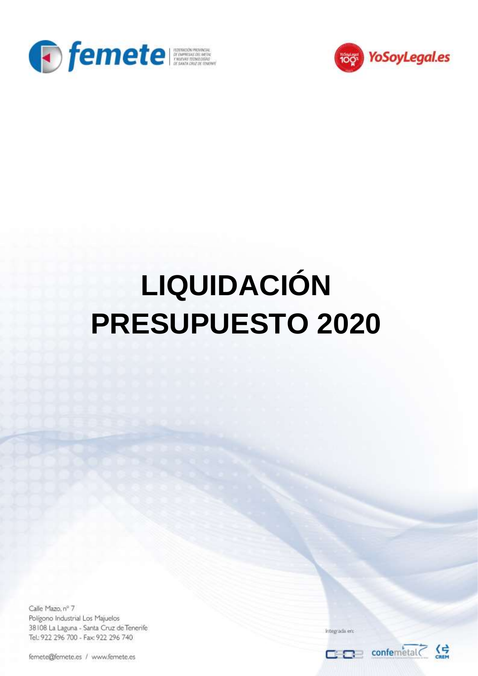



## **LIQUIDACIÓN PRESUPUESTO 2020**

Calle Mazo, nº 7 Polígono Industrial Los Majuelos 38108 La Laguna - Santa Cruz de Tenerife Tel.: 922 296 700 - Fax: 922 296 740

femete@femete.es / www.femete.es

Integrada en: